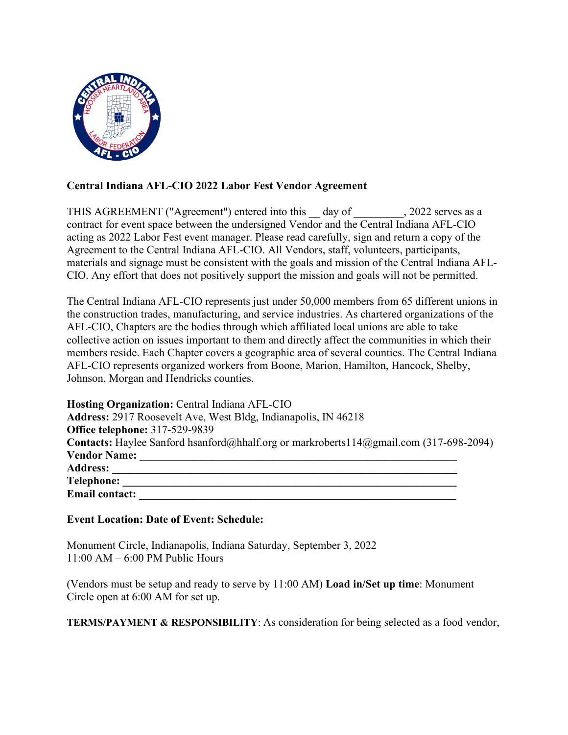

# **Central Indiana AFL-CIO 2022 Labor Fest Vendor Agreement**

THIS AGREEMENT ("Agreement") entered into this day of , 2022 serves as a contract for event space between the undersigned Vendor and the Central Indiana AFL-CIO acting as 2022 Labor Fest event manager. Please read carefully, sign and return a copy of the Agreement to the Central Indiana AFL-CIO. All Vendors, staff, volunteers, participants, materials and signage must be consistent with the goals and mission of the Central Indiana AFL-CIO. Any effort that does not positively support the mission and goals will not be permitted.

The Central Indiana AFL-CIO represents just under 50,000 members from 65 different unions in the construction trades, manufacturing, and service industries. As chartered organizations of the AFL-CIO, Chapters are the bodies through which affiliated local unions are able to take collective action on issues important to them and directly affect the communities in which their members reside. Each Chapter covers a geographic area of several counties. The Central Indiana AFL-CIO represents organized workers from Boone, Marion, Hamilton, Hancock, Shelby, Johnson, Morgan and Hendricks counties.

| Hosting Organization: Central Indiana AFL-CIO                                                 |  |
|-----------------------------------------------------------------------------------------------|--|
| <b>Address:</b> 2917 Roosevelt Ave, West Bldg, Indianapolis, IN 46218                         |  |
| <b>Office telephone: 317-529-9839</b>                                                         |  |
| <b>Contacts:</b> Haylee Sanford hsanford@hhalf.org or markroberts114@gmail.com (317-698-2094) |  |
| <b>Vendor Name:</b>                                                                           |  |
| <b>Address:</b>                                                                               |  |
| <b>Telephone:</b>                                                                             |  |
| <b>Email contact:</b>                                                                         |  |

## **Event Location: Date of Event: Schedule:**

Monument Circle, Indianapolis, Indiana Saturday, September 3, 2022 11:00 AM – 6:00 PM Public Hours

(Vendors must be setup and ready to serve by 11:00 AM) **Load in/Set up time**: Monument Circle open at 6:00 AM for set up.

**TERMS/PAYMENT & RESPONSIBILITY**: As consideration for being selected as a food vendor,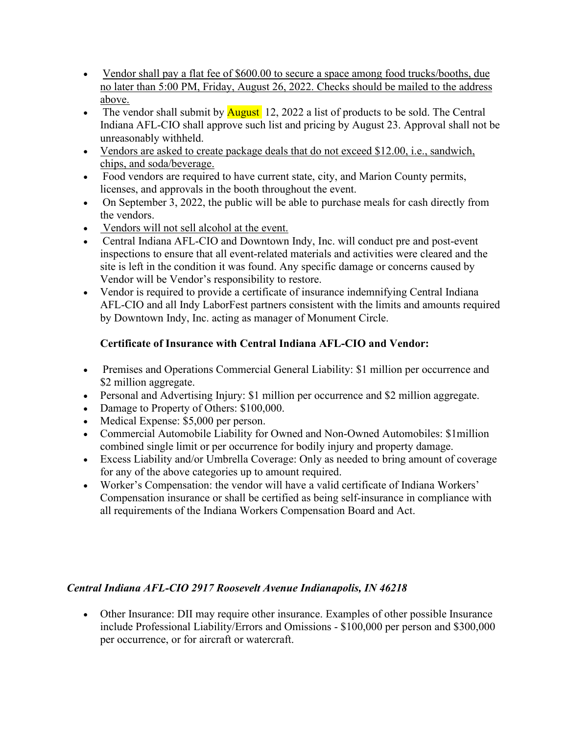- Vendor shall pay a flat fee of \$600.00 to secure a space among food trucks/booths, due no later than 5:00 PM, Friday, August 26, 2022. Checks should be mailed to the address above.
- The vendor shall submit by  $\frac{\text{August}}{\text{12}}$ , 2022 a list of products to be sold. The Central Indiana AFL-CIO shall approve such list and pricing by August 23. Approval shall not be unreasonably withheld.
- Vendors are asked to create package deals that do not exceed \$12.00, i.e., sandwich, chips, and soda/beverage.
- Food vendors are required to have current state, city, and Marion County permits, licenses, and approvals in the booth throughout the event.
- On September 3, 2022, the public will be able to purchase meals for cash directly from the vendors.
- Vendors will not sell alcohol at the event.
- Central Indiana AFL-CIO and Downtown Indy, Inc. will conduct pre and post-event inspections to ensure that all event-related materials and activities were cleared and the site is left in the condition it was found. Any specific damage or concerns caused by Vendor will be Vendor's responsibility to restore.
- Vendor is required to provide a certificate of insurance indemnifying Central Indiana AFL-CIO and all Indy LaborFest partners consistent with the limits and amounts required by Downtown Indy, Inc. acting as manager of Monument Circle.

# **Certificate of Insurance with Central Indiana AFL-CIO and Vendor:**

- Premises and Operations Commercial General Liability: \$1 million per occurrence and \$2 million aggregate.
- Personal and Advertising Injury: \$1 million per occurrence and \$2 million aggregate.
- Damage to Property of Others: \$100,000.
- Medical Expense: \$5,000 per person.
- Commercial Automobile Liability for Owned and Non-Owned Automobiles: \$1million combined single limit or per occurrence for bodily injury and property damage.
- Excess Liability and/or Umbrella Coverage: Only as needed to bring amount of coverage for any of the above categories up to amount required.
- Worker's Compensation: the vendor will have a valid certificate of Indiana Workers' Compensation insurance or shall be certified as being self-insurance in compliance with all requirements of the Indiana Workers Compensation Board and Act.

# *Central Indiana AFL-CIO 2917 Roosevelt Avenue Indianapolis, IN 46218*

• Other Insurance: DII may require other insurance. Examples of other possible Insurance include Professional Liability/Errors and Omissions - \$100,000 per person and \$300,000 per occurrence, or for aircraft or watercraft.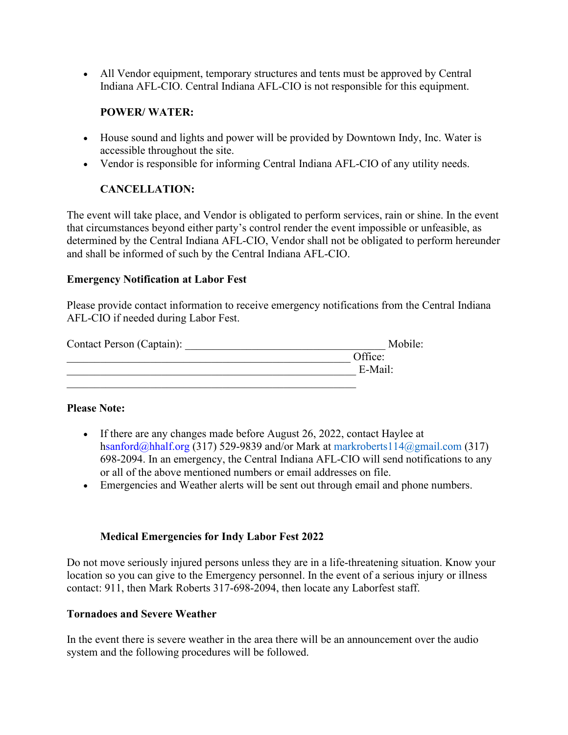• All Vendor equipment, temporary structures and tents must be approved by Central Indiana AFL-CIO. Central Indiana AFL-CIO is not responsible for this equipment.

#### **POWER/ WATER:**

- House sound and lights and power will be provided by Downtown Indy, Inc. Water is accessible throughout the site.
- Vendor is responsible for informing Central Indiana AFL-CIO of any utility needs.

# **CANCELLATION:**

The event will take place, and Vendor is obligated to perform services, rain or shine. In the event that circumstances beyond either party's control render the event impossible or unfeasible, as determined by the Central Indiana AFL-CIO, Vendor shall not be obligated to perform hereunder and shall be informed of such by the Central Indiana AFL-CIO.

#### **Emergency Notification at Labor Fest**

Please provide contact information to receive emergency notifications from the Central Indiana AFL-CIO if needed during Labor Fest.

| Contact Person (Captain): | Mobile: |
|---------------------------|---------|
|                           | Office: |
|                           | E-Mail: |
|                           |         |

## **Please Note:**

- If there are any changes made before August 26, 2022, contact Haylee at hsanford@hhalf.org (317) 529-9839 and/or Mark at markroberts114@gmail.com (317) 698-2094. In an emergency, the Central Indiana AFL-CIO will send notifications to any or all of the above mentioned numbers or email addresses on file.
- Emergencies and Weather alerts will be sent out through email and phone numbers.

## **Medical Emergencies for Indy Labor Fest 2022**

Do not move seriously injured persons unless they are in a life-threatening situation. Know your location so you can give to the Emergency personnel. In the event of a serious injury or illness contact: 911, then Mark Roberts 317-698-2094, then locate any Laborfest staff.

## **Tornadoes and Severe Weather**

In the event there is severe weather in the area there will be an announcement over the audio system and the following procedures will be followed.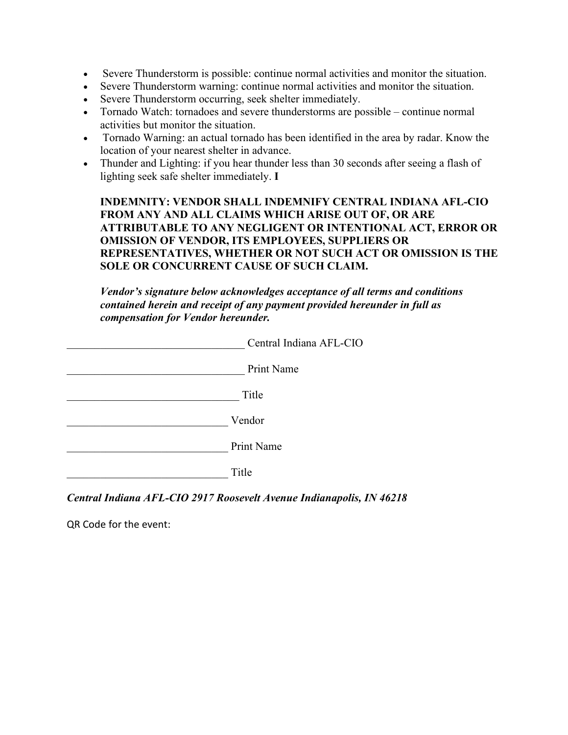- Severe Thunderstorm is possible: continue normal activities and monitor the situation.
- Severe Thunderstorm warning: continue normal activities and monitor the situation.
- Severe Thunderstorm occurring, seek shelter immediately.
- Tornado Watch: tornadoes and severe thunderstorms are possible continue normal activities but monitor the situation.
- Tornado Warning: an actual tornado has been identified in the area by radar. Know the location of your nearest shelter in advance.
- Thunder and Lighting: if you hear thunder less than 30 seconds after seeing a flash of lighting seek safe shelter immediately. **I**

**INDEMNITY: VENDOR SHALL INDEMNIFY CENTRAL INDIANA AFL-CIO FROM ANY AND ALL CLAIMS WHICH ARISE OUT OF, OR ARE ATTRIBUTABLE TO ANY NEGLIGENT OR INTENTIONAL ACT, ERROR OR OMISSION OF VENDOR, ITS EMPLOYEES, SUPPLIERS OR REPRESENTATIVES, WHETHER OR NOT SUCH ACT OR OMISSION IS THE SOLE OR CONCURRENT CAUSE OF SUCH CLAIM.** 

*Vendor's signature below acknowledges acceptance of all terms and conditions contained herein and receipt of any payment provided hereunder in full as compensation for Vendor hereunder.* 

| Central Indiana AFL-CIO |
|-------------------------|
| Print Name              |
| Title                   |
| Vendor                  |
| <b>Print Name</b>       |
| Title                   |
|                         |

*Central Indiana AFL-CIO 2917 Roosevelt Avenue Indianapolis, IN 46218* 

QR Code for the event: